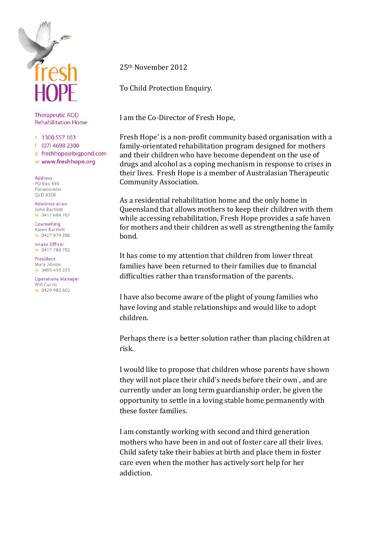

**Therapeutic AOD Rehabilitation Home** 

t 1300 557 103

f (07) 4698 2300 e freshhope@bigpond.com w www.freshhope.org

Address **PO Box 485** Toowoomba OLD 4350

Administration John Bartlett m 0417 604 767

Counselling Karen Bartlett m 0427 979 286

**Intake Officer** m 0417 786 782

President Mary Jibson m 0405 450 221

**Operations Manager** Will Curtis m 0429 982 602

25th November 2012

To Child Protection Enquiry.

I am the Co‐Director of Fresh Hope,

Fresh Hope' is a non‐profit community based organisation with a family‐orientated rehabilitation program designed for mothers and their children who have become dependent on the use of drugs and alcohol as a coping mechanism in respon[se to crises in](http://cliq32.webefekts.com/admin/innova/scripts/blank.gif#_Therapeutic_Community) their lives. Fresh Hope is a member of Australasian Therapeutic [Community](http://cliq32.webefekts.com/admin/innova/scripts/blank.gif#_Therapeutic_Community) Association.

As a residential rehabilitation home and the only home in Queensland that allows mothers to keep their children with them while accessing rehabilitation, Fresh Hope provides a safe haven for mothers and their children as well as strengthening the family bond.

It has come to my attention that children from lower threat families have been returned to their families due to financial difficulties rather than transformation of the parents.

I have also become aware of the plight of young families who have loving and stable relationships and would like to adopt children.

Perhaps there is a better solution rather than placing children at risk.

I would like to propose that children whose parents have shown they will not place their child's needs before their own , and are currently under an long term guardianship order, be given the opportunity to settle in a loving stable home permanently with these foster families.

I am constantly working with second and third generation mothers who have been in and out of foster care all their lives. Child safety take their babies at birth and place them in foster care even when the mother has actively sort help for her addiction.